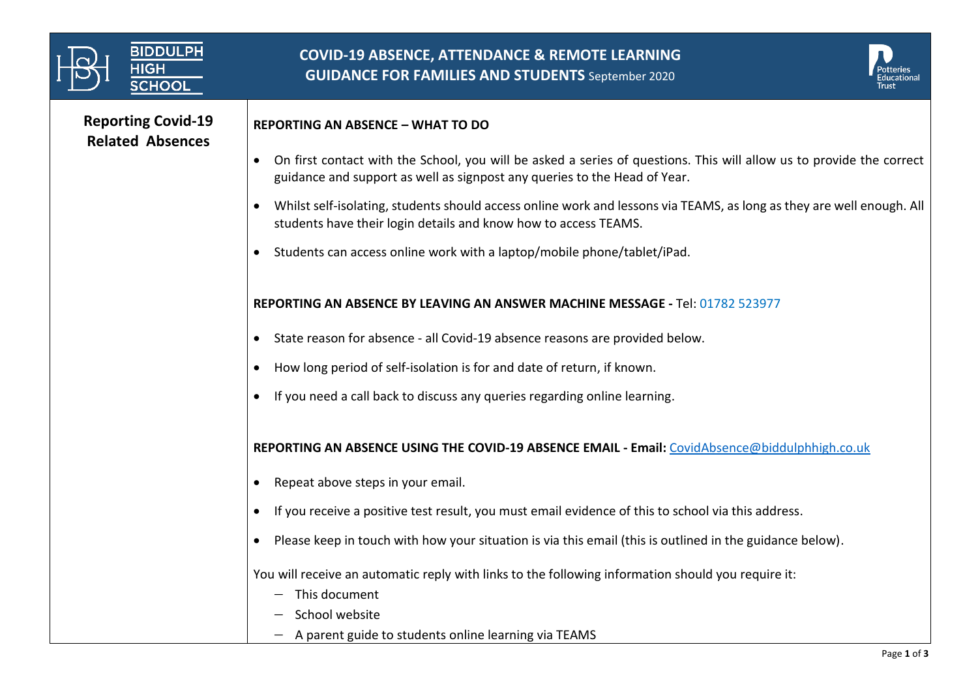| <b>BIDDULPH</b><br><b>HIGH</b><br><b>SCHOOL</b>      | <b>COVID-19 ABSENCE, ATTENDANCE &amp; REMOTE LEARNING</b><br><b>GUIDANCE FOR FAMILIES AND STUDENTS</b> September 2020                                                                               |  |
|------------------------------------------------------|-----------------------------------------------------------------------------------------------------------------------------------------------------------------------------------------------------|--|
| <b>Reporting Covid-19</b><br><b>Related Absences</b> | <b>REPORTING AN ABSENCE - WHAT TO DO</b>                                                                                                                                                            |  |
|                                                      | • On first contact with the School, you will be asked a series of questions. This will allow us to provide the correct<br>guidance and support as well as signpost any queries to the Head of Year. |  |
|                                                      | Whilst self-isolating, students should access online work and lessons via TEAMS, as long as they are well enough. All<br>students have their login details and know how to access TEAMS.            |  |
|                                                      | Students can access online work with a laptop/mobile phone/tablet/iPad.                                                                                                                             |  |
|                                                      | REPORTING AN ABSENCE BY LEAVING AN ANSWER MACHINE MESSAGE - Tel: 01782 523977                                                                                                                       |  |
|                                                      | • State reason for absence - all Covid-19 absence reasons are provided below.                                                                                                                       |  |
|                                                      | How long period of self-isolation is for and date of return, if known.                                                                                                                              |  |
|                                                      | If you need a call back to discuss any queries regarding online learning.                                                                                                                           |  |
|                                                      | REPORTING AN ABSENCE USING THE COVID-19 ABSENCE EMAIL - Email: CovidAbsence@biddulphhigh.co.uk                                                                                                      |  |
|                                                      | Repeat above steps in your email.                                                                                                                                                                   |  |
|                                                      | If you receive a positive test result, you must email evidence of this to school via this address.                                                                                                  |  |
|                                                      | Please keep in touch with how your situation is via this email (this is outlined in the guidance below).                                                                                            |  |
|                                                      | You will receive an automatic reply with links to the following information should you require it:                                                                                                  |  |
|                                                      | This document<br>School website                                                                                                                                                                     |  |
|                                                      | A parent guide to students online learning via TEAMS                                                                                                                                                |  |
|                                                      | Diag 1 of 2                                                                                                                                                                                         |  |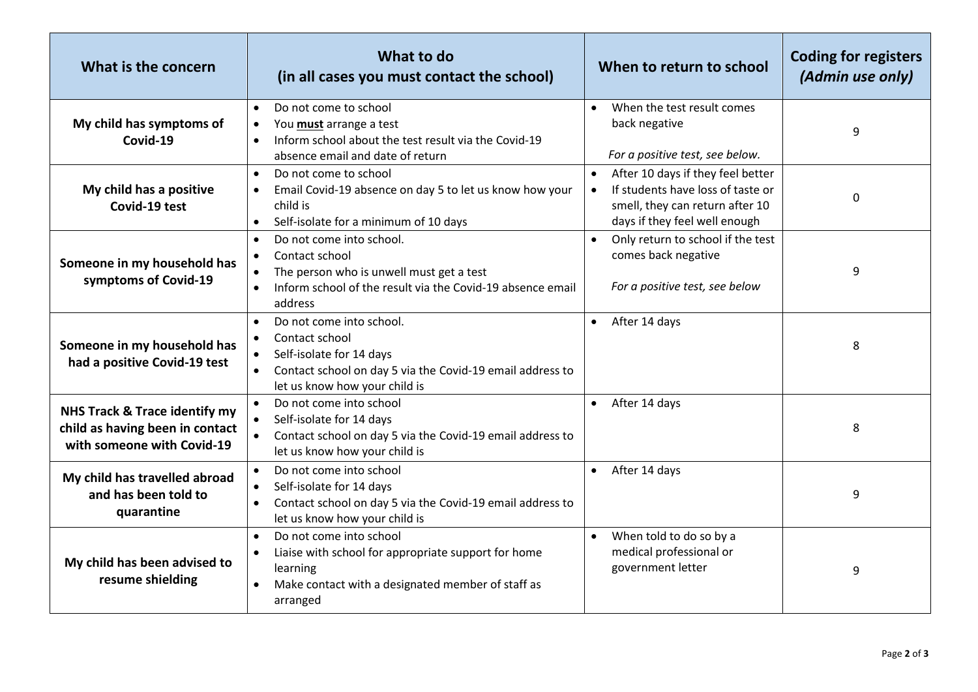| What is the concern                                                                            | What to do<br>(in all cases you must contact the school)                                                                                                                                  | When to return to school                                                                                                                                             | <b>Coding for registers</b><br>(Admin use only) |
|------------------------------------------------------------------------------------------------|-------------------------------------------------------------------------------------------------------------------------------------------------------------------------------------------|----------------------------------------------------------------------------------------------------------------------------------------------------------------------|-------------------------------------------------|
| My child has symptoms of<br>Covid-19                                                           | Do not come to school<br>$\bullet$<br>You must arrange a test<br>$\bullet$<br>Inform school about the test result via the Covid-19<br>$\bullet$<br>absence email and date of return       | When the test result comes<br>$\bullet$<br>back negative<br>For a positive test, see below.                                                                          | 9                                               |
| My child has a positive<br>Covid-19 test                                                       | Do not come to school<br>$\bullet$<br>Email Covid-19 absence on day 5 to let us know how your<br>$\bullet$<br>child is<br>Self-isolate for a minimum of 10 days<br>$\bullet$              | $\bullet$<br>After 10 days if they feel better<br>If students have loss of taste or<br>$\bullet$<br>smell, they can return after 10<br>days if they feel well enough | $\mathbf 0$                                     |
| Someone in my household has<br>symptoms of Covid-19                                            | Do not come into school.<br>$\bullet$<br>Contact school<br>$\bullet$<br>The person who is unwell must get a test<br>Inform school of the result via the Covid-19 absence email<br>address | Only return to school if the test<br>$\bullet$<br>comes back negative<br>For a positive test, see below                                                              | 9                                               |
| Someone in my household has<br>had a positive Covid-19 test                                    | Do not come into school.<br>$\bullet$<br>Contact school<br>Self-isolate for 14 days<br>Contact school on day 5 via the Covid-19 email address to<br>let us know how your child is         | After 14 days<br>$\bullet$                                                                                                                                           | 8                                               |
| NHS Track & Trace identify my<br>child as having been in contact<br>with someone with Covid-19 | Do not come into school<br>$\bullet$<br>Self-isolate for 14 days<br>$\bullet$<br>Contact school on day 5 via the Covid-19 email address to<br>let us know how your child is               | After 14 days<br>$\bullet$                                                                                                                                           | 8                                               |
| My child has travelled abroad<br>and has been told to<br>quarantine                            | Do not come into school<br>$\bullet$<br>Self-isolate for 14 days<br>Contact school on day 5 via the Covid-19 email address to<br>$\bullet$<br>let us know how your child is               | After 14 days<br>$\bullet$                                                                                                                                           | 9                                               |
| My child has been advised to<br>resume shielding                                               | Do not come into school<br>$\bullet$<br>Liaise with school for appropriate support for home<br>learning<br>Make contact with a designated member of staff as<br>arranged                  | When told to do so by a<br>$\bullet$<br>medical professional or<br>government letter                                                                                 | 9                                               |